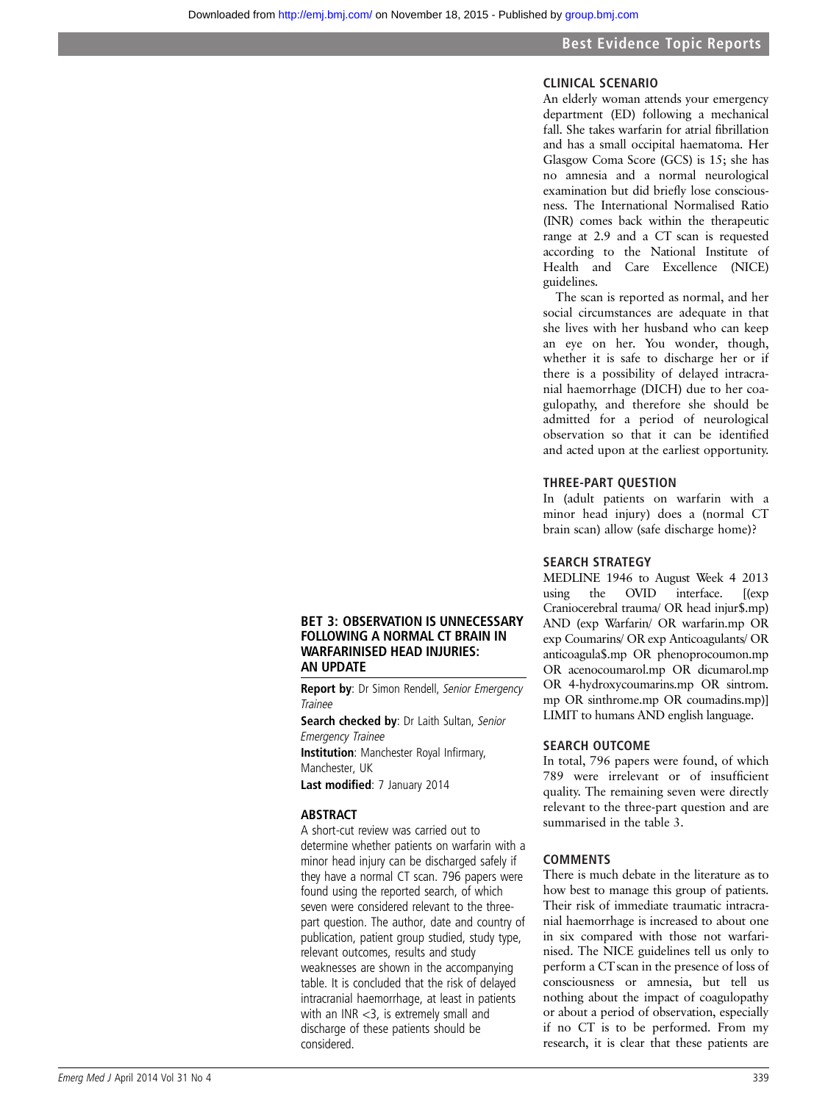# CLINICAL SCENARIO

An elderly woman attends your emergency department (ED) following a mechanical fall. She takes warfarin for atrial fibrillation and has a small occipital haematoma. Her Glasgow Coma Score (GCS) is 15; she has no amnesia and a normal neurological examination but did briefly lose consciousness. The International Normalised Ratio (INR) comes back within the therapeutic range at 2.9 and a CT scan is requested according to the National Institute of Health and Care Excellence (NICE) guidelines.

The scan is reported as normal, and her social circumstances are adequate in that she lives with her husband who can keep an eye on her. You wonder, though, whether it is safe to discharge her or if there is a possibility of delayed intracranial haemorrhage (DICH) due to her coagulopathy, and therefore she should be admitted for a period of neurological observation so that it can be identified and acted upon at the earliest opportunity.

#### THREE-PART QUESTION

In (adult patients on warfarin with a minor head injury) does a (normal CT brain scan) allow (safe discharge home)?

## SEARCH STRATEGY

MEDLINE 1946 to August Week 4 2013<br>using the OVID interface. [(exp using the OVID interface. [(exp Craniocerebral trauma/ OR head injur\$.mp) AND (exp Warfarin/ OR warfarin.mp OR exp Coumarins/ OR exp Anticoagulants/ OR anticoagula\$.mp OR phenoprocoumon.mp OR acenocoumarol.mp OR dicumarol.mp OR 4-hydroxycoumarins.mp OR sintrom. mp OR sinthrome.mp OR coumadins.mp)] LIMIT to humans AND english language.

#### SEARCH OUTCOME

In total, 796 papers were found, of which 789 were irrelevant or of insufficient quality. The remaining seven were directly relevant to the three-part question and are summarised in the table 3.

#### COMMENTS

There is much debate in the literature as to how best to manage this group of patients. Their risk of immediate traumatic intracranial haemorrhage is increased to about one in six compared with those not warfarinised. The NICE guidelines tell us only to perform a CT scan in the presence of loss of consciousness or amnesia, but tell us nothing about the impact of coagulopathy or about a period of observation, especially if no CT is to be performed. From my research, it is clear that these patients are

#### BET 3: OBSERVATION IS UNNECESSARY FOLLOWING A NORMAL CT BRAIN IN WARFARINISED HEAD INJURIES: AN UPDATE

Report by: Dr Simon Rendell, Senior Emergency **Trainee** 

Search checked by: Dr Laith Sultan, Senior Emergency Trainee **Institution**: Manchester Royal Infirmary, Manchester, UK

Last modified: 7 January 2014

## ABSTRACT

A short-cut review was carried out to determine whether patients on warfarin with a minor head injury can be discharged safely if they have a normal CT scan. 796 papers were found using the reported search, of which seven were considered relevant to the threepart question. The author, date and country of publication, patient group studied, study type, relevant outcomes, results and study weaknesses are shown in the accompanying table. It is concluded that the risk of delayed intracranial haemorrhage, at least in patients with an INR <3, is extremely small and discharge of these patients should be considered.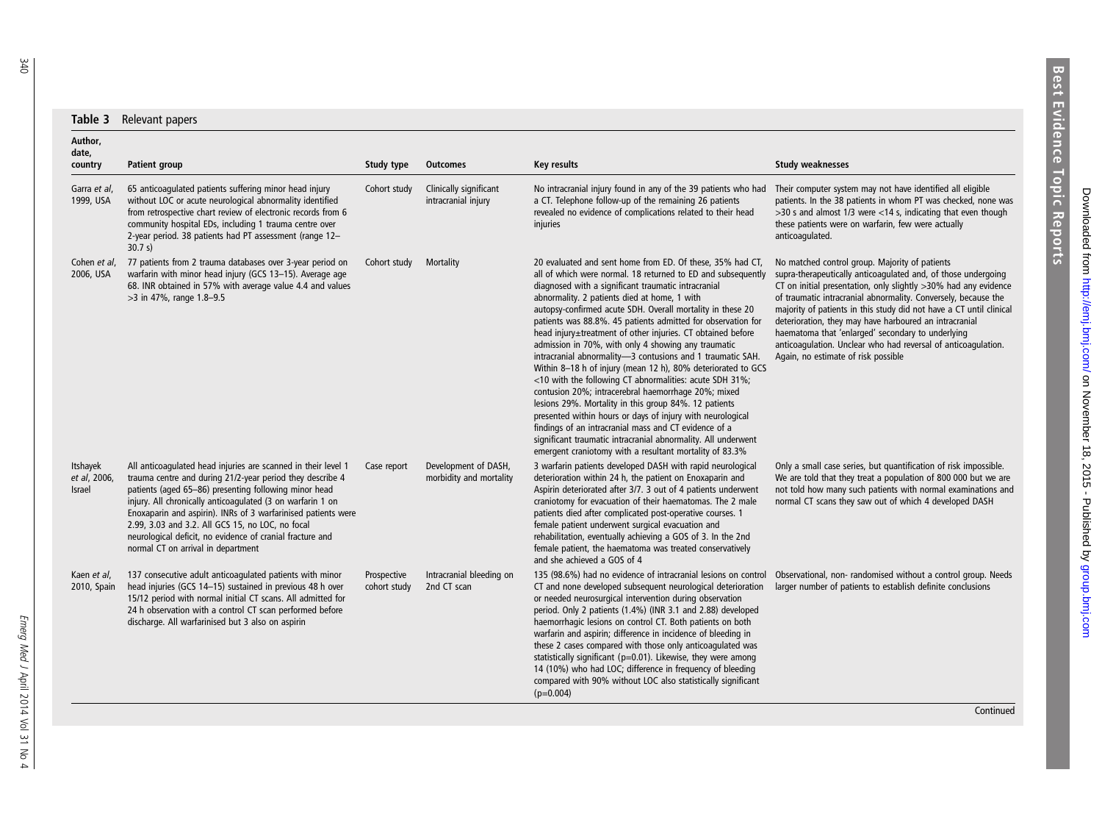| Table 3                                   | Relevant papers                                                                                                                                                                                                                                                                                                                                                                                                                                                           |                             |                                                 |                                                                                                                                                                                                                                                                                                                                                                                                                                                                                                                                                                                                                                                                                                                                                                                                                                                                                                                                                                                                                                                  |                                                                                                                                                                                                                                                                                                                                                                                                                                                                                                                                                    |
|-------------------------------------------|---------------------------------------------------------------------------------------------------------------------------------------------------------------------------------------------------------------------------------------------------------------------------------------------------------------------------------------------------------------------------------------------------------------------------------------------------------------------------|-----------------------------|-------------------------------------------------|--------------------------------------------------------------------------------------------------------------------------------------------------------------------------------------------------------------------------------------------------------------------------------------------------------------------------------------------------------------------------------------------------------------------------------------------------------------------------------------------------------------------------------------------------------------------------------------------------------------------------------------------------------------------------------------------------------------------------------------------------------------------------------------------------------------------------------------------------------------------------------------------------------------------------------------------------------------------------------------------------------------------------------------------------|----------------------------------------------------------------------------------------------------------------------------------------------------------------------------------------------------------------------------------------------------------------------------------------------------------------------------------------------------------------------------------------------------------------------------------------------------------------------------------------------------------------------------------------------------|
| Author.<br>date,<br>country               | Patient group                                                                                                                                                                                                                                                                                                                                                                                                                                                             | Study type                  | <b>Outcomes</b>                                 | Key results                                                                                                                                                                                                                                                                                                                                                                                                                                                                                                                                                                                                                                                                                                                                                                                                                                                                                                                                                                                                                                      | <b>Study weaknesses</b>                                                                                                                                                                                                                                                                                                                                                                                                                                                                                                                            |
| Garra et al,<br>1999, USA                 | 65 anticoagulated patients suffering minor head injury<br>without LOC or acute neurological abnormality identified<br>from retrospective chart review of electronic records from 6<br>community hospital EDs, including 1 trauma centre over<br>2-year period. 38 patients had PT assessment (range 12-<br>30.7 s)                                                                                                                                                        | Cohort study                | Clinically significant<br>intracranial injury   | No intracranial injury found in any of the 39 patients who had<br>a CT. Telephone follow-up of the remaining 26 patients<br>revealed no evidence of complications related to their head<br>injuries                                                                                                                                                                                                                                                                                                                                                                                                                                                                                                                                                                                                                                                                                                                                                                                                                                              | Their computer system may not have identified all eligible<br>patients. In the 38 patients in whom PT was checked, none was<br>$>$ 30 s and almost 1/3 were <14 s, indicating that even though<br>these patients were on warfarin, few were actually<br>anticoagulated.                                                                                                                                                                                                                                                                            |
| Cohen et al,<br>2006, USA                 | 77 patients from 2 trauma databases over 3-year period on<br>warfarin with minor head injury (GCS 13-15). Average age<br>68. INR obtained in 57% with average value 4.4 and values<br>>3 in 47%, range 1.8-9.5                                                                                                                                                                                                                                                            | Cohort study                | Mortality                                       | 20 evaluated and sent home from ED. Of these, 35% had CT,<br>all of which were normal. 18 returned to ED and subsequently<br>diagnosed with a significant traumatic intracranial<br>abnormality. 2 patients died at home, 1 with<br>autopsy-confirmed acute SDH. Overall mortality in these 20<br>patients was 88.8%. 45 patients admitted for observation for<br>head injury±treatment of other injuries. CT obtained before<br>admission in 70%, with only 4 showing any traumatic<br>intracranial abnormality-3 contusions and 1 traumatic SAH.<br>Within 8-18 h of injury (mean 12 h), 80% deteriorated to GCS<br><10 with the following CT abnormalities: acute SDH 31%;<br>contusion 20%; intracerebral haemorrhage 20%; mixed<br>lesions 29%. Mortality in this group 84%. 12 patients<br>presented within hours or days of injury with neurological<br>findings of an intracranial mass and CT evidence of a<br>significant traumatic intracranial abnormality. All underwent<br>emergent craniotomy with a resultant mortality of 83.3% | No matched control group. Majority of patients<br>supra-therapeutically anticoagulated and, of those undergoing<br>CT on initial presentation, only slightly >30% had any evidence<br>of traumatic intracranial abnormality. Conversely, because the<br>majority of patients in this study did not have a CT until clinical<br>deterioration, they may have harboured an intracranial<br>haematoma that 'enlarged' secondary to underlying<br>anticoagulation. Unclear who had reversal of anticoagulation.<br>Again, no estimate of risk possible |
| Itshayek<br>et al, 2006,<br><b>Israel</b> | All anticoagulated head injuries are scanned in their level 1<br>trauma centre and during 21/2-year period they describe 4<br>patients (aged 65-86) presenting following minor head<br>injury. All chronically anticoagulated (3 on warfarin 1 on<br>Enoxaparin and aspirin). INRs of 3 warfarinised patients were<br>2.99, 3.03 and 3.2. All GCS 15, no LOC, no focal<br>neurological deficit, no evidence of cranial fracture and<br>normal CT on arrival in department | Case report                 | Development of DASH,<br>morbidity and mortality | 3 warfarin patients developed DASH with rapid neurological<br>deterioration within 24 h, the patient on Enoxaparin and<br>Aspirin deteriorated after 3/7. 3 out of 4 patients underwent<br>craniotomy for evacuation of their haematomas. The 2 male<br>patients died after complicated post-operative courses. 1<br>female patient underwent surgical evacuation and<br>rehabilitation, eventually achieving a GOS of 3. In the 2nd<br>female patient, the haematoma was treated conservatively<br>and she achieved a GOS of 4                                                                                                                                                                                                                                                                                                                                                                                                                                                                                                                  | Only a small case series, but quantification of risk impossible.<br>We are told that they treat a population of 800 000 but we are<br>not told how many such patients with normal examinations and<br>normal CT scans they saw out of which 4 developed DASH                                                                                                                                                                                                                                                                                       |
| Kaen et al.<br>2010, Spain                | 137 consecutive adult anticoagulated patients with minor<br>head injuries (GCS 14-15) sustained in previous 48 h over<br>15/12 period with normal initial CT scans. All admitted for<br>24 h observation with a control CT scan performed before<br>discharge. All warfarinised but 3 also on aspirin                                                                                                                                                                     | Prospective<br>cohort study | Intracranial bleeding on<br>2nd CT scan         | 135 (98.6%) had no evidence of intracranial lesions on control<br>CT and none developed subsequent neurological deterioration<br>or needed neurosurgical intervention during observation<br>period. Only 2 patients (1.4%) (INR 3.1 and 2.88) developed<br>haemorrhagic lesions on control CT. Both patients on both<br>warfarin and aspirin; difference in incidence of bleeding in<br>these 2 cases compared with those only anticoagulated was<br>statistically significant (p=0.01). Likewise, they were among<br>14 (10%) who had LOC; difference in frequency of bleeding<br>compared with 90% without LOC also statistically significant<br>$(p=0.004)$                                                                                                                                                                                                                                                                                                                                                                                   | Observational, non-randomised without a control group. Needs<br>larger number of patients to establish definite conclusions                                                                                                                                                                                                                                                                                                                                                                                                                        |

Emerg Med J

April 2014 Vol 31 No 4

**Continued**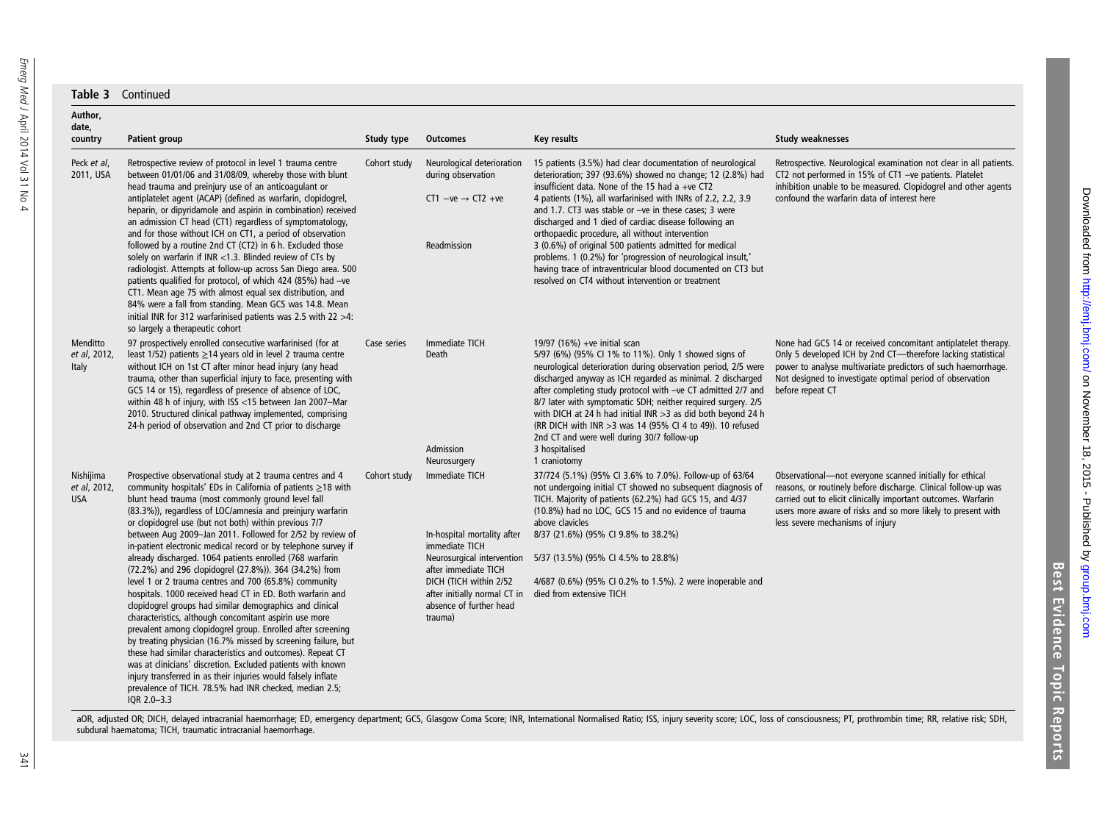| Author,<br>date,                        |                                                                                                                                                                                                                                                                                                                                                                                                                                                                                                                                                                                                                                                                                                                                                                                                                                                                                                                                                                                                                                                                                                                                                                                                                       |              |                                                                                                                                                                                                                       |                                                                                                                                                                                                                                                                                                                                                                                                                                                                                                                                                                                                                                                                 |                                                                                                                                                                                                                                                                                                 |
|-----------------------------------------|-----------------------------------------------------------------------------------------------------------------------------------------------------------------------------------------------------------------------------------------------------------------------------------------------------------------------------------------------------------------------------------------------------------------------------------------------------------------------------------------------------------------------------------------------------------------------------------------------------------------------------------------------------------------------------------------------------------------------------------------------------------------------------------------------------------------------------------------------------------------------------------------------------------------------------------------------------------------------------------------------------------------------------------------------------------------------------------------------------------------------------------------------------------------------------------------------------------------------|--------------|-----------------------------------------------------------------------------------------------------------------------------------------------------------------------------------------------------------------------|-----------------------------------------------------------------------------------------------------------------------------------------------------------------------------------------------------------------------------------------------------------------------------------------------------------------------------------------------------------------------------------------------------------------------------------------------------------------------------------------------------------------------------------------------------------------------------------------------------------------------------------------------------------------|-------------------------------------------------------------------------------------------------------------------------------------------------------------------------------------------------------------------------------------------------------------------------------------------------|
| country                                 | <b>Patient group</b>                                                                                                                                                                                                                                                                                                                                                                                                                                                                                                                                                                                                                                                                                                                                                                                                                                                                                                                                                                                                                                                                                                                                                                                                  | Study type   | <b>Outcomes</b>                                                                                                                                                                                                       | <b>Key results</b>                                                                                                                                                                                                                                                                                                                                                                                                                                                                                                                                                                                                                                              | <b>Study weaknesses</b>                                                                                                                                                                                                                                                                         |
| Peck et al,<br>2011, USA                | Retrospective review of protocol in level 1 trauma centre<br>between 01/01/06 and 31/08/09, whereby those with blunt<br>head trauma and preinjury use of an anticoagulant or<br>antiplatelet agent (ACAP) (defined as warfarin, clopidogrel,<br>heparin, or dipyridamole and aspirin in combination) received<br>an admission CT head (CT1) regardless of symptomatology,<br>and for those without ICH on CT1, a period of observation<br>followed by a routine 2nd CT (CT2) in 6 h. Excluded those<br>solely on warfarin if INR $<$ 1.3. Blinded review of CTs by<br>radiologist. Attempts at follow-up across San Diego area. 500<br>patients qualified for protocol, of which 424 (85%) had -ve<br>CT1. Mean age 75 with almost equal sex distribution, and<br>84% were a fall from standing. Mean GCS was 14.8. Mean<br>initial INR for 312 warfarinised patients was 2.5 with 22 $>4$ :<br>so largely a therapeutic cohort                                                                                                                                                                                                                                                                                       | Cohort study | Neurological deterioration<br>during observation<br>CT1 $-ve \rightarrow CT2 +ve$<br>Readmission                                                                                                                      | 15 patients (3.5%) had clear documentation of neurological<br>deterioration; 397 (93.6%) showed no change; 12 (2.8%) had<br>insufficient data. None of the 15 had a +ve CT2<br>4 patients (1%), all warfarinised with INRs of 2.2, 2.2, 3.9<br>and 1.7. CT3 was stable or -ve in these cases; 3 were<br>discharged and 1 died of cardiac disease following an<br>orthopaedic procedure, all without intervention<br>3 (0.6%) of original 500 patients admitted for medical<br>problems. 1 (0.2%) for 'progression of neurological insult,'<br>having trace of intraventricular blood documented on CT3 but<br>resolved on CT4 without intervention or treatment | Retrospective. Neurological examination not clear in all patients.<br>CT2 not performed in 15% of CT1 -ve patients. Platelet<br>inhibition unable to be measured. Clopidogrel and other agents<br>confound the warfarin data of interest here                                                   |
| Menditto<br>et al, 2012,<br>Italy       | 97 prospectively enrolled consecutive warfarinised (for at<br>least 1/52) patients $\geq$ 14 years old in level 2 trauma centre<br>without ICH on 1st CT after minor head injury (any head<br>trauma, other than superficial injury to face, presenting with<br>GCS 14 or 15), regardless of presence of absence of LOC,<br>within 48 h of injury, with ISS <15 between Jan 2007-Mar<br>2010. Structured clinical pathway implemented, comprising<br>24-h period of observation and 2nd CT prior to discharge                                                                                                                                                                                                                                                                                                                                                                                                                                                                                                                                                                                                                                                                                                         | Case series  | Immediate TICH<br>Death<br>Admission<br>Neurosurgery                                                                                                                                                                  | 19/97 (16%) +ve initial scan<br>5/97 (6%) (95% CI 1% to 11%). Only 1 showed signs of<br>neurological deterioration during observation period, 2/5 were<br>discharged anyway as ICH regarded as minimal. 2 discharged<br>after completing study protocol with -ve CT admitted 2/7 and<br>8/7 later with symptomatic SDH; neither required surgery. 2/5<br>with DICH at 24 h had initial INR $>3$ as did both beyond 24 h<br>(RR DICH with INR > 3 was 14 (95% CI 4 to 49)). 10 refused<br>2nd CT and were well during 30/7 follow-up<br>3 hospitalised<br>1 craniotomy                                                                                           | None had GCS 14 or received concomitant antiplatelet therapy.<br>Only 5 developed ICH by 2nd CT-therefore lacking statistical<br>power to analyse multivariate predictors of such haemorrhage.<br>Not designed to investigate optimal period of observation<br>before repeat CT                 |
| Nishijima<br>et al, 2012,<br><b>USA</b> | Prospective observational study at 2 trauma centres and 4<br>community hospitals' EDs in California of patients $\geq$ 18 with<br>blunt head trauma (most commonly ground level fall<br>(83.3%)), regardless of LOC/amnesia and preinjury warfarin<br>or clopidogrel use (but not both) within previous 7/7<br>between Aug 2009-Jan 2011. Followed for 2/52 by review of<br>in-patient electronic medical record or by telephone survey if<br>already discharged. 1064 patients enrolled (768 warfarin<br>(72.2%) and 296 clopidogrel (27.8%)). 364 (34.2%) from<br>level 1 or 2 trauma centres and 700 (65.8%) community<br>hospitals. 1000 received head CT in ED. Both warfarin and<br>clopidogrel groups had similar demographics and clinical<br>characteristics, although concomitant aspirin use more<br>prevalent among clopidogrel group. Enrolled after screening<br>by treating physician (16.7% missed by screening failure, but<br>these had similar characteristics and outcomes). Repeat CT<br>was at clinicians' discretion. Excluded patients with known<br>injury transferred in as their injuries would falsely inflate<br>prevalence of TICH. 78.5% had INR checked, median 2.5;<br>$10R$ 2.0-3.3 | Cohort study | Immediate TICH<br>In-hospital mortality after<br>immediate TICH<br>Neurosurgical intervention<br>after immediate TICH<br>DICH (TICH within 2/52<br>after initially normal CT in<br>absence of further head<br>trauma) | 37/724 (5.1%) (95% CI 3.6% to 7.0%). Follow-up of 63/64<br>not undergoing initial CT showed no subsequent diagnosis of<br>TICH. Majority of patients (62.2%) had GCS 15, and 4/37<br>(10.8%) had no LOC, GCS 15 and no evidence of trauma<br>above clavicles<br>8/37 (21.6%) (95% CI 9.8% to 38.2%)<br>5/37 (13.5%) (95% CI 4.5% to 28.8%)<br>4/687 (0.6%) (95% CI 0.2% to 1.5%). 2 were inoperable and<br>died from extensive TICH                                                                                                                                                                                                                             | Observational-not everyone scanned initially for ethical<br>reasons, or routinely before discharge. Clinical follow-up was<br>carried out to elicit clinically important outcomes. Warfarin<br>users more aware of risks and so more likely to present with<br>less severe mechanisms of injury |

aOR, adjusted OR; DICH, delayed intracranial haemorrhage; ED, emergency department; GCS, Glasgow Coma Score; INR, International Normalised Ratio; ISS, injury severity score; LOC, loss of consciousness; PT, prothrombin time

Best Evidence Topic Reports

**Best Evidence Topic Reports** 

341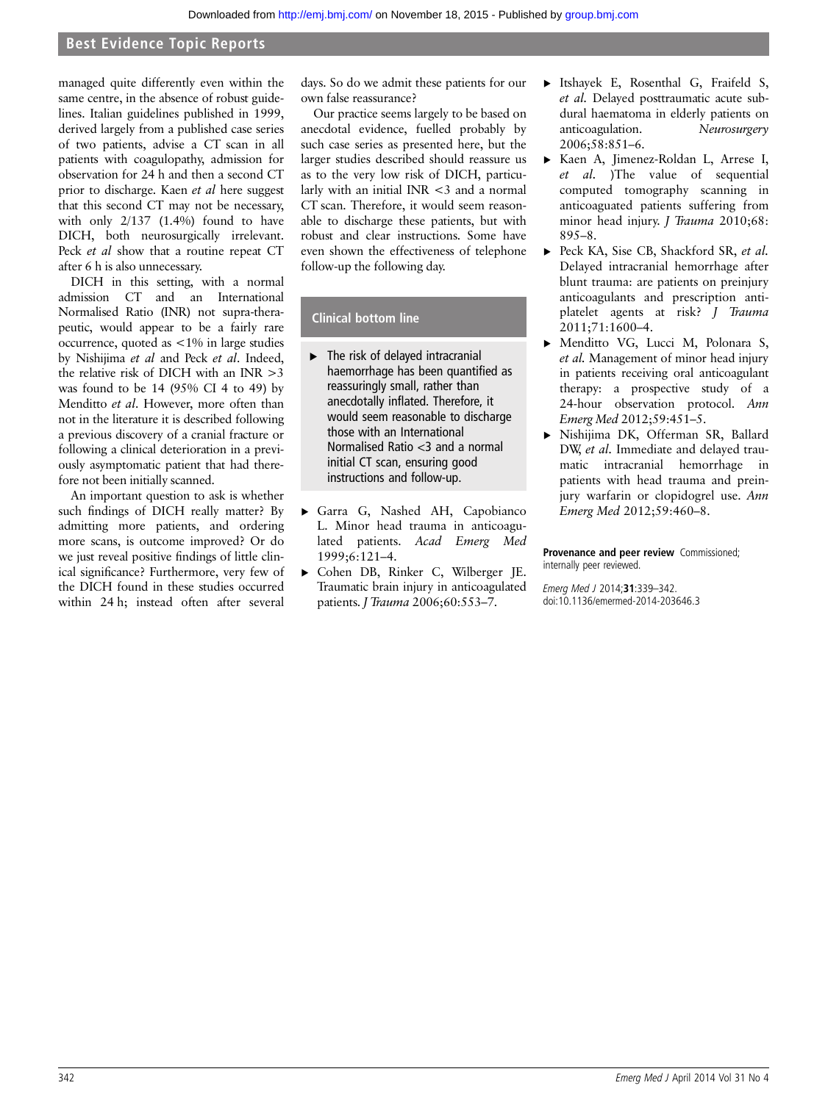# Best Evidence Topic Reports

managed quite differently even within the same centre, in the absence of robust guidelines. Italian guidelines published in 1999, derived largely from a published case series of two patients, advise a CT scan in all patients with coagulopathy, admission for observation for 24 h and then a second CT prior to discharge. Kaen et al here suggest that this second CT may not be necessary, with only 2/137 (1.4%) found to have DICH, both neurosurgically irrelevant. Peck et al show that a routine repeat CT after 6 h is also unnecessary.

DICH in this setting, with a normal admission CT and an International Normalised Ratio (INR) not supra-therapeutic, would appear to be a fairly rare occurrence, quoted as <1% in large studies by Nishijima et al and Peck et al. Indeed, the relative risk of DICH with an INR >3 was found to be 14 (95% CI 4 to 49) by Menditto et al. However, more often than not in the literature it is described following a previous discovery of a cranial fracture or following a clinical deterioration in a previously asymptomatic patient that had therefore not been initially scanned.

An important question to ask is whether such findings of DICH really matter? By admitting more patients, and ordering more scans, is outcome improved? Or do we just reveal positive findings of little clinical significance? Furthermore, very few of the DICH found in these studies occurred within 24 h; instead often after several

days. So do we admit these patients for our own false reassurance?

Our practice seems largely to be based on anecdotal evidence, fuelled probably by such case series as presented here, but the larger studies described should reassure us as to the very low risk of DICH, particularly with an initial INR <3 and a normal CT scan. Therefore, it would seem reasonable to discharge these patients, but with robust and clear instructions. Some have even shown the effectiveness of telephone follow-up the following day.

# Clinical bottom line

- $\blacktriangleright$  The risk of delayed intracranial haemorrhage has been quantified as reassuringly small, rather than anecdotally inflated. Therefore, it would seem reasonable to discharge those with an International Normalised Ratio <3 and a normal initial CT scan, ensuring good instructions and follow-up.
- ▸ Garra G, Nashed AH, Capobianco L. Minor head trauma in anticoagulated patients. Acad Emerg Med 1999;6:121–4.
- ▸ Cohen DB, Rinker C, Wilberger JE. Traumatic brain injury in anticoagulated patients. *J Trauma* 2006;60:553-7.
- ▸ Itshayek E, Rosenthal G, Fraifeld S, et al. Delayed posttraumatic acute subdural haematoma in elderly patients on anticoagulation. Neurosurgery 2006;58:851–6.
- ▸ Kaen A, Jimenez-Roldan L, Arrese I, et al. )The value of sequential computed tomography scanning in anticoaguated patients suffering from minor head injury. *J Trauma* 2010;68: 895–8.
- ▶ Peck KA, Sise CB, Shackford SR, et al. Delayed intracranial hemorrhage after blunt trauma: are patients on preinjury anticoagulants and prescription antiplatelet agents at risk? J Trauma 2011;71:1600–4.
- ▸ Menditto VG, Lucci M, Polonara S, et al. Management of minor head injury in patients receiving oral anticoagulant therapy: a prospective study of a 24-hour observation protocol. Ann Emerg Med 2012;59:451–5.
- ▸ Nishijima DK, Offerman SR, Ballard DW, et al. Immediate and delayed traumatic intracranial hemorrhage in patients with head trauma and preinjury warfarin or clopidogrel use. Ann Emerg Med 2012;59:460–8.

Provenance and peer review Commissioned; internally peer reviewed.

Emerg Med J 2014;31:339–342. doi:10.1136/emermed-2014-203646.3